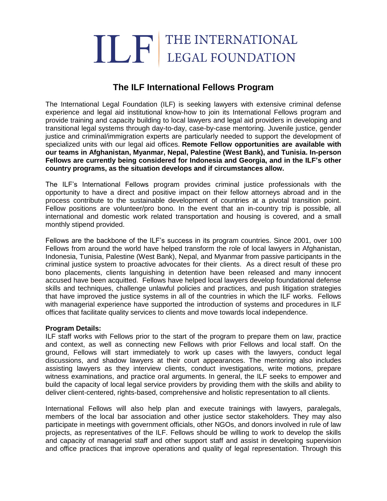# THE INTERNATIONAL

# **The ILF International Fellows Program**

The International Legal Foundation (ILF) is seeking lawyers with extensive criminal defense experience and legal aid institutional know-how to join its International Fellows program and provide training and capacity building to local lawyers and legal aid providers in developing and transitional legal systems through day-to-day, case-by-case mentoring. Juvenile justice, gender justice and criminal/immigration experts are particularly needed to support the development of specialized units with our legal aid offices. **Remote Fellow opportunities are available with our teams in Afghanistan, Myanmar, Nepal, Palestine (West Bank), and Tunisia. In-person Fellows are currently being considered for Indonesia and Georgia, and in the ILF's other country programs, as the situation develops and if circumstances allow.** 

The ILF's International Fellows program provides criminal justice professionals with the opportunity to have a direct and positive impact on their fellow attorneys abroad and in the process contribute to the sustainable development of countries at a pivotal transition point. Fellow positions are volunteer/pro bono. In the event that an in-country trip is possible, all international and domestic work related transportation and housing is covered, and a small monthly stipend provided.

Fellows are the backbone of the ILF's success in its program countries. Since 2001, over 100 Fellows from around the world have helped transform the role of local lawyers in Afghanistan, Indonesia, Tunisia, Palestine (West Bank), Nepal, and Myanmar from passive participants in the criminal justice system to proactive advocates for their clients. As a direct result of these pro bono placements, clients languishing in detention have been released and many innocent accused have been acquitted. Fellows have helped local lawyers develop foundational defense skills and techniques, challenge unlawful policies and practices, and push litigation strategies that have improved the justice systems in all of the countries in which the ILF works. Fellows with managerial experience have supported the introduction of systems and procedures in ILF offices that facilitate quality services to clients and move towards local independence.

# **Program Details:**

ILF staff works with Fellows prior to the start of the program to prepare them on law, practice and context, as well as connecting new Fellows with prior Fellows and local staff. On the ground, Fellows will start immediately to work up cases with the lawyers, conduct legal discussions, and shadow lawyers at their court appearances. The mentoring also includes assisting lawyers as they interview clients, conduct investigations, write motions, prepare witness examinations, and practice oral arguments. In general, the ILF seeks to empower and build the capacity of local legal service providers by providing them with the skills and ability to deliver client-centered, rights-based, comprehensive and holistic representation to all clients.

International Fellows will also help plan and execute trainings with lawyers, paralegals, members of the local bar association and other justice sector stakeholders. They may also participate in meetings with government officials, other NGOs, and donors involved in rule of law projects, as representatives of the ILF. Fellows should be willing to work to develop the skills and capacity of managerial staff and other support staff and assist in developing supervision and office practices that improve operations and quality of legal representation. Through this